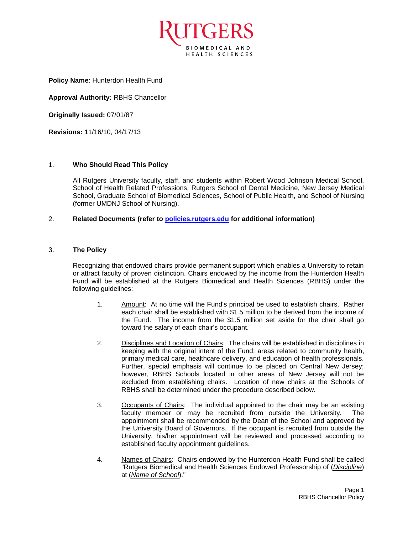

**Policy Name**: Hunterdon Health Fund

**Approval Authority:** RBHS Chancellor

**Originally Issued:** 07/01/87

**Revisions:** 11/16/10, 04/17/13

## 1. **Who Should Read This Policy**

All Rutgers University faculty, staff, and students within Robert Wood Johnson Medical School, School of Health Related Professions, Rutgers School of Dental Medicine, New Jersey Medical School, Graduate School of Biomedical Sciences, School of Public Health, and School of Nursing (former UMDNJ School of Nursing).

## 2. **Related Documents (refer to [policies.rutgers.edu](file:///C:/Users/rsedlackpr001/Documents/Rutgers/Policies/RBHS%20Policies/policies.rutgers.edu) for additional information)**

## 3. **The Policy**

Recognizing that endowed chairs provide permanent support which enables a University to retain or attract faculty of proven distinction. Chairs endowed by the income from the Hunterdon Health Fund will be established at the Rutgers Biomedical and Health Sciences (RBHS) under the following guidelines:

- 1. Amount: At no time will the Fund's principal be used to establish chairs. Rather each chair shall be established with \$1.5 million to be derived from the income of the Fund. The income from the \$1.5 million set aside for the chair shall go toward the salary of each chair's occupant.
- 2. Disciplines and Location of Chairs: The chairs will be established in disciplines in keeping with the original intent of the Fund: areas related to community health, primary medical care, healthcare delivery, and education of health professionals. Further, special emphasis will continue to be placed on Central New Jersey; however, RBHS Schools located in other areas of New Jersey will not be excluded from establishing chairs. Location of new chairs at the Schools of RBHS shall be determined under the procedure described below.
- 3. Occupants of Chairs: The individual appointed to the chair may be an existing faculty member or may be recruited from outside the University. The appointment shall be recommended by the Dean of the School and approved by the University Board of Governors. If the occupant is recruited from outside the University, his/her appointment will be reviewed and processed according to established faculty appointment guidelines.
- 4. Names of Chairs: Chairs endowed by the Hunterdon Health Fund shall be called "Rutgers Biomedical and Health Sciences Endowed Professorship of (*Discipline*) at (*Name of School*)."